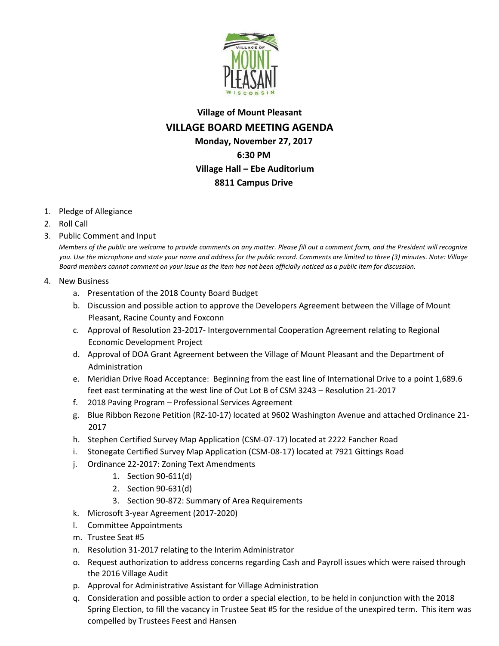

## **Village of Mount Pleasant VILLAGE BOARD MEETING AGENDA Monday, November 27, 2017 6:30 PM Village Hall – Ebe Auditorium 8811 Campus Drive**

- 1. Pledge of Allegiance
- 2. Roll Call
- 3. Public Comment and Input

*Members of the public are welcome to provide comments on any matter. Please fill out a comment form, and the President will recognize you. Use the microphone and state your name and address for the public record. Comments are limited to three (3) minutes. Note: Village Board members cannot comment on your issue as the item has not been officially noticed as a public item for discussion.*

- 4. New Business
	- a. Presentation of the 2018 County Board Budget
	- b. Discussion and possible action to approve the Developers Agreement between the Village of Mount Pleasant, Racine County and Foxconn
	- c. Approval of Resolution 23-2017- Intergovernmental Cooperation Agreement relating to Regional Economic Development Project
	- d. Approval of DOA Grant Agreement between the Village of Mount Pleasant and the Department of Administration
	- e. Meridian Drive Road Acceptance: Beginning from the east line of International Drive to a point 1,689.6 feet east terminating at the west line of Out Lot B of CSM 3243 – Resolution 21-2017
	- f. 2018 Paving Program Professional Services Agreement
	- g. Blue Ribbon Rezone Petition (RZ-10-17) located at 9602 Washington Avenue and attached Ordinance 21- 2017
	- h. Stephen Certified Survey Map Application (CSM-07-17) located at 2222 Fancher Road
	- i. Stonegate Certified Survey Map Application (CSM-08-17) located at 7921 Gittings Road
	- j. Ordinance 22-2017: Zoning Text Amendments
		- 1. Section 90-611(d)
		- 2. Section 90-631(d)
		- 3. Section 90-872: Summary of Area Requirements
	- k. Microsoft 3-year Agreement (2017-2020)
	- l. Committee Appointments
	- m. Trustee Seat #5
	- n. Resolution 31-2017 relating to the Interim Administrator
	- o. Request authorization to address concerns regarding Cash and Payroll issues which were raised through the 2016 Village Audit
	- p. Approval for Administrative Assistant for Village Administration
	- q. Consideration and possible action to order a special election, to be held in conjunction with the 2018 Spring Election, to fill the vacancy in Trustee Seat #5 for the residue of the unexpired term. This item was compelled by Trustees Feest and Hansen